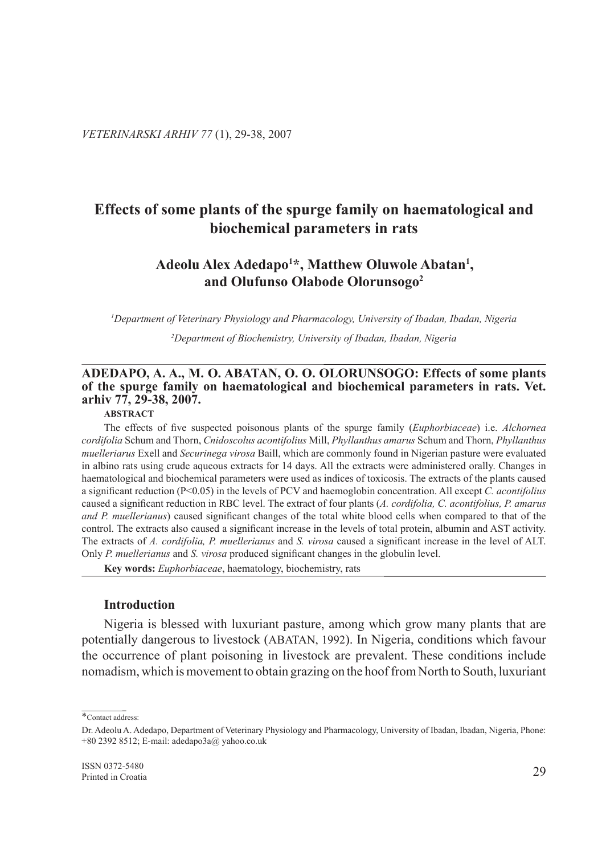# **Effects of some plants of the spurge family on haematological and biochemical parameters in rats**

# **Adeolu Alex Adedapo1 \*, Matthew Oluwole Abatan1 , and Olufunso Olabode Olorunsogo2**

*1 Department of Veterinary Physiology and Pharmacology, University of Ibadan, Ibadan, Nigeria*

*2 Department of Biochemistry, University of Ibadan, Ibadan, Nigeria*

# **Adedapo, A. A., M. O. Abatan, O. O. Olorunsogo: Effects of some plants of the spurge family on haematological and biochemical parameters in rats. Vet. arhiv 77, 29-38, 2007.**

### **Abstract**

The effects of five suspected poisonous plants of the spurge family (*Euphorbiaceae*) i.e. *Alchornea cordifolia* Schum and Thorn, *Cnidoscolus acontifolius* Mill, *Phyllanthus amarus* Schum and Thorn, *Phyllanthus muelleriarus* Exell and *Securinega virosa* Baill, which are commonly found in Nigerian pasture were evaluated in albino rats using crude aqueous extracts for 14 days. All the extracts were administered orally. Changes in haematological and biochemical parameters were used as indices of toxicosis. The extracts of the plants caused a significant reduction (P<0.05) in the levels of PCV and haemoglobin concentration. All except *C. acontifolius* caused a significant reduction in RBC level. The extract of four plants (*A. cordifolia, C. acontifolius, P. amarus and P. muellerianus*) caused significant changes of the total white blood cells when compared to that of the control. The extracts also caused a significant increase in the levels of total protein, albumin and AST activity. The extracts of *A. cordifolia, P. muellerianus* and *S. virosa* caused a significant increase in the level of ALT. Only *P. muellerianus* and *S. virosa* produced significant changes in the globulin level.

**Key words:** *Euphorbiaceae*, haematology, biochemistry, rats

# **Introduction**

Nigeria is blessed with luxuriant pasture, among which grow many plants that are potentially dangerous to livestock (ABATAN, 1992). In Nigeria, conditions which favour the occurrence of plant poisoning in livestock are prevalent. These conditions include nomadism, which is movement to obtain grazing on the hoof from North to South, luxuriant

<sup>\*</sup>Contact address:

Dr. Adeolu A. Adedapo, Department of Veterinary Physiology and Pharmacology, University of Ibadan, Ibadan, Nigeria, Phone: +80 2392 8512; E-mail: adedapo3a@ yahoo.co.uk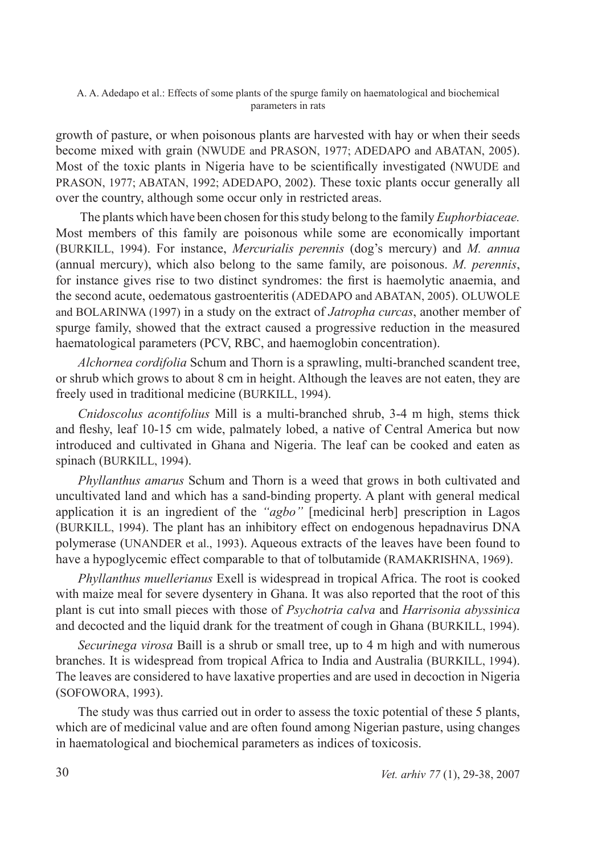growth of pasture, or when poisonous plants are harvested with hay or when their seeds become mixed with grain (NWUDE and PRASON, 1977; ADEDAPO and ABATAN, 2005). Most of the toxic plants in Nigeria have to be scientifically investigated (NWUDE and PRASON, 1977; ABATAN, 1992; ADEDAPO, 2002). These toxic plants occur generally all over the country, although some occur only in restricted areas.

 The plants which have been chosen for this study belong to the family *Euphorbiaceae.* Most members of this family are poisonous while some are economically important (BURKILL, 1994). For instance, *Mercurialis perennis* (dog's mercury) and *M. annua* (annual mercury), which also belong to the same family, are poisonous. *M. perennis*, for instance gives rise to two distinct syndromes: the first is haemolytic anaemia, and the second acute, oedematous gastroenteritis (ADEDAPO and ABATAN, 2005). OLUWOLE and BOLARINWA (1997) in a study on the extract of *Jatropha curcas*, another member of spurge family, showed that the extract caused a progressive reduction in the measured haematological parameters (PCV, RBC, and haemoglobin concentration).

*Alchornea cordifolia* Schum and Thorn is a sprawling, multi-branched scandent tree, or shrub which grows to about 8 cm in height. Although the leaves are not eaten, they are freely used in traditional medicine (BURKILL, 1994).

*Cnidoscolus acontifolius* Mill is a multi-branched shrub, 3-4 m high, stems thick and fleshy, leaf 10-15 cm wide, palmately lobed, a native of Central America but now introduced and cultivated in Ghana and Nigeria. The leaf can be cooked and eaten as spinach (BURKILL, 1994).

*Phyllanthus amarus* Schum and Thorn is a weed that grows in both cultivated and uncultivated land and which has a sand-binding property. A plant with general medical application it is an ingredient of the *"agbo"* [medicinal herb] prescription in Lagos (BURKILL, 1994). The plant has an inhibitory effect on endogenous hepadnavirus DNA polymerase (UNANDER et al., 1993). Aqueous extracts of the leaves have been found to have a hypoglycemic effect comparable to that of tolbutamide (RAMAKRISHNA, 1969).

*Phyllanthus muellerianus* Exell is widespread in tropical Africa. The root is cooked with maize meal for severe dysentery in Ghana. It was also reported that the root of this plant is cut into small pieces with those of *Psychotria calva* and *Harrisonia abyssinica* and decocted and the liquid drank for the treatment of cough in Ghana (BURKILL, 1994).

*Securinega virosa* Baill is a shrub or small tree, up to 4 m high and with numerous branches. It is widespread from tropical Africa to India and Australia (BURKILL, 1994). The leaves are considered to have laxative properties and are used in decoction in Nigeria (SOFOWORA, 1993).

The study was thus carried out in order to assess the toxic potential of these 5 plants, which are of medicinal value and are often found among Nigerian pasture, using changes in haematological and biochemical parameters as indices of toxicosis.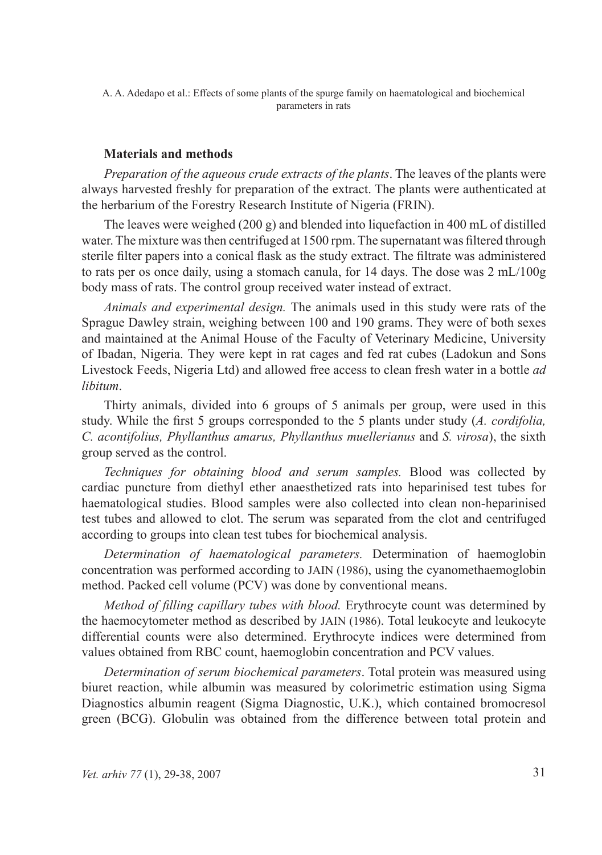# **Materials and methods**

*Preparation of the aqueous crude extracts of the plants*. The leaves of the plants were always harvested freshly for preparation of the extract. The plants were authenticated at the herbarium of the Forestry Research Institute of Nigeria (FRIN).

The leaves were weighed (200 g) and blended into liquefaction in 400 mL of distilled water. The mixture was then centrifuged at 1500 rpm. The supernatant was filtered through sterile filter papers into a conical flask as the study extract. The filtrate was administered to rats per os once daily, using a stomach canula, for 14 days. The dose was 2 mL/100g body mass of rats. The control group received water instead of extract.

*Animals and experimental design.* The animals used in this study were rats of the Sprague Dawley strain, weighing between 100 and 190 grams. They were of both sexes and maintained at the Animal House of the Faculty of Veterinary Medicine, University of Ibadan, Nigeria. They were kept in rat cages and fed rat cubes (Ladokun and Sons Livestock Feeds, Nigeria Ltd) and allowed free access to clean fresh water in a bottle *ad libitum*.

Thirty animals, divided into 6 groups of 5 animals per group, were used in this study. While the first 5 groups corresponded to the 5 plants under study (*A. cordifolia, C. acontifolius, Phyllanthus amarus, Phyllanthus muellerianus* and *S. virosa*), the sixth group served as the control.

*Techniques for obtaining blood and serum samples.* Blood was collected by cardiac puncture from diethyl ether anaesthetized rats into heparinised test tubes for haematological studies. Blood samples were also collected into clean non-heparinised test tubes and allowed to clot. The serum was separated from the clot and centrifuged according to groups into clean test tubes for biochemical analysis.

*Determination of haematological parameters.* Determination of haemoglobin concentration was performed according to JAIN (1986), using the cyanomethaemoglobin method. Packed cell volume (PCV) was done by conventional means.

*Method of filling capillary tubes with blood.* Erythrocyte count was determined by the haemocytometer method as described by JAIN (1986). Total leukocyte and leukocyte differential counts were also determined. Erythrocyte indices were determined from values obtained from RBC count, haemoglobin concentration and PCV values.

*Determination of serum biochemical parameters*. Total protein was measured using biuret reaction, while albumin was measured by colorimetric estimation using Sigma Diagnostics albumin reagent (Sigma Diagnostic, U.K.), which contained bromocresol green (BCG). Globulin was obtained from the difference between total protein and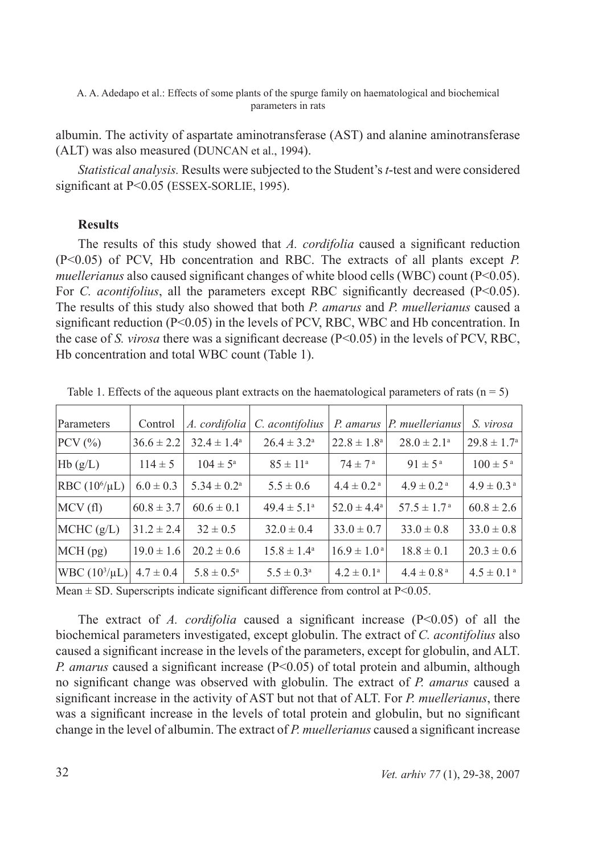albumin. The activity of aspartate aminotransferase (AST) and alanine aminotransferase (ALT) was also measured (DUNCAN et al., 1994).

*Statistical analysis.* Results were subjected to the Student's *t*-test and were considered significant at P<0.05 (ESSEX-SORLIE, 1995).

# **Results**

The results of this study showed that *A. cordifolia* caused a significant reduction (P<0.05) of PCV, Hb concentration and RBC. The extracts of all plants except *P. muellerianus* also caused significant changes of white blood cells (WBC) count (P<0.05). For *C. acontifolius*, all the parameters except RBC significantly decreased (P<0.05). The results of this study also showed that both *P. amarus* and *P. muellerianus* caused a significant reduction  $(P<0.05)$  in the levels of PCV, RBC, WBC and Hb concentration. In the case of *S. virosa* there was a significant decrease (P<0.05) in the levels of PCV, RBC, Hb concentration and total WBC count (Table 1).

| Parameters                        | Control        | A. cordifolia          | C. acontifolius        | P. amarus                   | P. muellerianus            | S. virosa                  |
|-----------------------------------|----------------|------------------------|------------------------|-----------------------------|----------------------------|----------------------------|
| $PCV$ $(\% )$                     | $36.6 \pm 2.2$ | $32.4 \pm 1.4^{\circ}$ | $26.4 \pm 3.2^{\circ}$ | $22.8 \pm 1.8^{\rm a}$      | $28.0 \pm 2.1^{\circ}$     | $29.8 \pm 1.7^{\circ}$     |
| Hb(g/L)                           | $114 \pm 5$    | $104 \pm 5^{\circ}$    | $85 \pm 11^{\circ}$    | $74 \pm 7^{\rm a}$          | $91 \pm 5^{\rm a}$         | $100 \pm 5^{\text{ a}}$    |
| $\vert$ RBC (10 <sup>6</sup> /µL) | $6.0 \pm 0.3$  | $5.34 \pm 0.2^{\rm a}$ | $5.5 \pm 0.6$          | $4.4 \pm 0.2$ <sup>a</sup>  | $4.9 \pm 0.2$ <sup>a</sup> | $4.9 \pm 0.3$ <sup>a</sup> |
| MCV(f)                            | $60.8 \pm 3.7$ | $60.6 \pm 0.1$         | $49.4 \pm 5.1^{\circ}$ | 52.0 $\pm$ 4.4 <sup>a</sup> | $57.5 \pm 1.7^{\text{a}}$  | $60.8 \pm 2.6$             |
| MCHC(g/L)                         | $31.2 \pm 2.4$ | $32 \pm 0.5$           | $32.0 \pm 0.4$         | $33.0 \pm 0.7$              | $33.0 \pm 0.8$             | $33.0 \pm 0.8$             |
| MCH(pg)                           | $19.0 \pm 1.6$ | $20.2 \pm 0.6$         | $15.8 \pm 1.4^{\circ}$ | $16.9 \pm 1.0^{\text{a}}$   | $18.8 \pm 0.1$             | $20.3 \pm 0.6$             |
| $ \text{WBC } (10^3/\mu L) $      | $4.7 \pm 0.4$  | $5.8 \pm 0.5^{\rm a}$  | $5.5 \pm 0.3^{\rm a}$  | $4.2 \pm 0.1^{\circ}$       | $4.4 \pm 0.8^{\text{a}}$   | $4.5 \pm 0.1$ <sup>a</sup> |

Table 1. Effects of the aqueous plant extracts on the haematological parameters of rats ( $n = 5$ )

Mean  $\pm$  SD. Superscripts indicate significant difference from control at P<0.05.

The extract of *A. cordifolia* caused a significant increase (P<0.05) of all the biochemical parameters investigated, except globulin. The extract of *C. acontifolius* also caused a significant increase in the levels of the parameters, except for globulin, and ALT. *P. amarus* caused a significant increase (P<0.05) of total protein and albumin, although no significant change was observed with globulin. The extract of *P. amarus* caused a significant increase in the activity of AST but not that of ALT. For *P. muellerianus*, there was a significant increase in the levels of total protein and globulin, but no significant change in the level of albumin. The extract of *P. muellerianus* caused a significant increase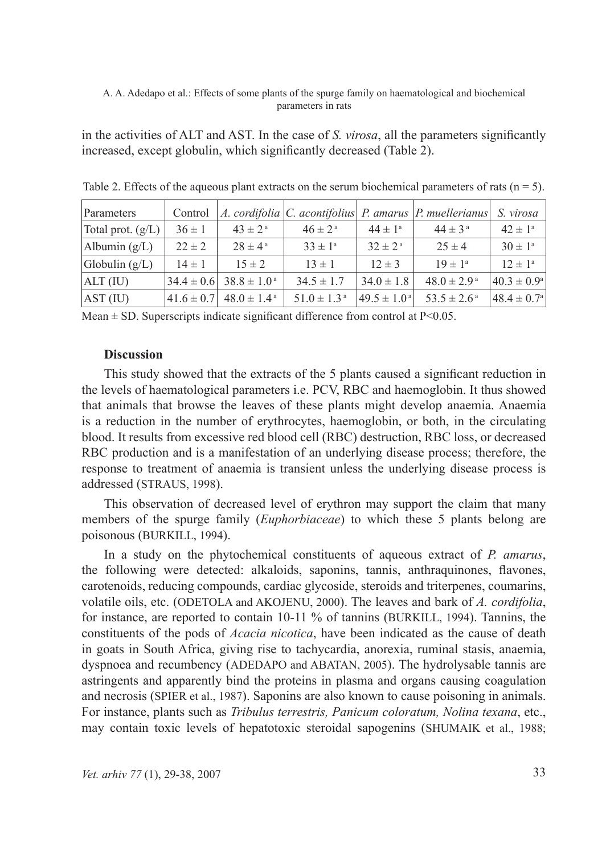in the activities of ALT and AST. In the case of *S. virosa*, all the parameters significantly increased, except globulin, which significantly decreased (Table 2).

| Parameters          | Control          |                           |                             |                              | A. cordifolia $ C$ . acontifolius $ P$ . amarus $ P$ . muellerianus | S. virosa                |
|---------------------|------------------|---------------------------|-----------------------------|------------------------------|---------------------------------------------------------------------|--------------------------|
| Total prot. $(g/L)$ | $36 \pm 1$       | $43 \pm 2^{\rm a}$        | $46 \pm 2^{\rm a}$          | $44 \pm 1^a$                 | $44 \pm 3^{\circ}$                                                  | $42 \pm 1^{\circ}$       |
| Albumin $(g/L)$     | $22 \pm 2$       | $28 \pm 4^{\rm a}$        | $33 \pm 1^a$                | $32 \pm 2^{\rm a}$           | $25 \pm 4$                                                          | $30 \pm 1^{\circ}$       |
| Globulin $(g/L)$    | $14 \pm 1$       | $15 \pm 2$                | $13 \pm 1$                  | $12 \pm 3$                   | $19 \pm 1^{\circ}$                                                  | $12 \pm 1^a$             |
| $ALT$ (IU)          | $34.4 \pm 0.6$   | $38.8 \pm 1.0^{\text{a}}$ | $34.5 \pm 1.7$              | $34.0 \pm 1.8$               | $48.0 \pm 2.9^{\text{a}}$                                           | $40.3 \pm 0.9^{\circ}$   |
| AST (IU)            | $ 41.6 \pm 0.7 $ | $48.0 \pm 1.4^{\text{a}}$ | $51.0 \pm 1.3$ <sup>a</sup> | $ 49.5 \pm 1.0^{\text{ a}} $ | $53.5 \pm 2.6^{\text{a}}$                                           | $ 48.4 \pm 0.7^{\circ} $ |

Table 2. Effects of the aqueous plant extracts on the serum biochemical parameters of rats ( $n = 5$ ).

Mean  $\pm$  SD. Superscripts indicate significant difference from control at P<0.05.

# **Discussion**

This study showed that the extracts of the 5 plants caused a significant reduction in the levels of haematological parameters i.e. PCV, RBC and haemoglobin. It thus showed that animals that browse the leaves of these plants might develop anaemia. Anaemia is a reduction in the number of erythrocytes, haemoglobin, or both, in the circulating blood. It results from excessive red blood cell (RBC) destruction, RBC loss, or decreased RBC production and is a manifestation of an underlying disease process; therefore, the response to treatment of anaemia is transient unless the underlying disease process is addressed (STRAUS, 1998).

This observation of decreased level of erythron may support the claim that many members of the spurge family (*Euphorbiaceae*) to which these 5 plants belong are poisonous (BURKILL, 1994).

In a study on the phytochemical constituents of aqueous extract of *P. amarus*, the following were detected: alkaloids, saponins, tannis, anthraquinones, flavones, carotenoids, reducing compounds, cardiac glycoside, steroids and triterpenes, coumarins, volatile oils, etc. (ODETOLA and AKOJENU, 2000). The leaves and bark of *A. cordifolia*, for instance, are reported to contain 10-11 % of tannins (BURKILL, 1994). Tannins, the constituents of the pods of *Acacia nicotica*, have been indicated as the cause of death in goats in South Africa, giving rise to tachycardia, anorexia, ruminal stasis, anaemia, dyspnoea and recumbency (ADEDAPO and ABATAN, 2005). The hydrolysable tannis are astringents and apparently bind the proteins in plasma and organs causing coagulation and necrosis (SPIER et al., 1987). Saponins are also known to cause poisoning in animals. For instance, plants such as *Tribulus terrestris, Panicum coloratum, Nolina texana*, etc., may contain toxic levels of hepatotoxic steroidal sapogenins (SHUMAIK et al., 1988;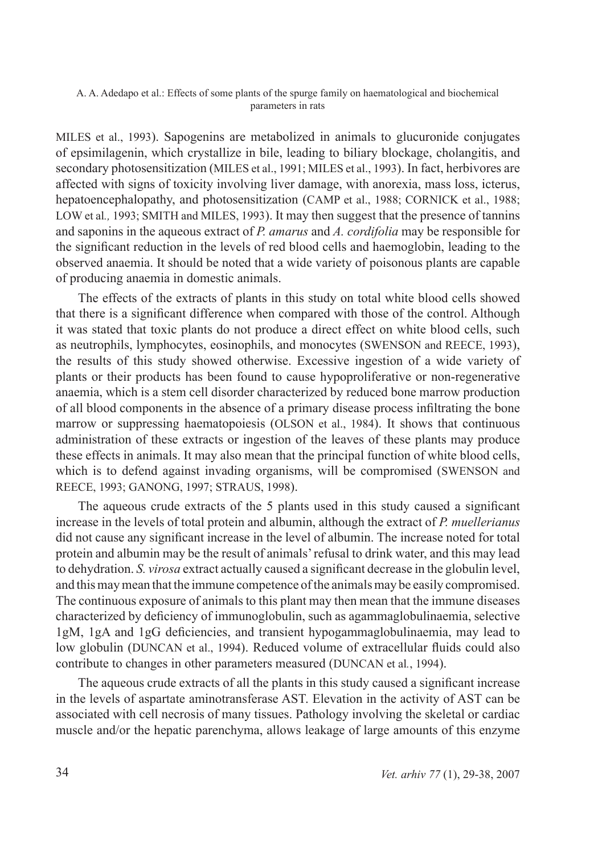MILES et al., 1993). Sapogenins are metabolized in animals to glucuronide conjugates of epsimilagenin, which crystallize in bile, leading to biliary blockage, cholangitis, and secondary photosensitization (MILES et al., 1991; MILES et al., 1993). In fact, herbivores are affected with signs of toxicity involving liver damage, with anorexia, mass loss, icterus, hepatoencephalopathy, and photosensitization (CAMP et al., 1988; CORNICK et al., 1988; LOW et al., 1993; SMITH and MILES, 1993). It may then suggest that the presence of tannins and saponins in the aqueous extract of *P. amarus* and *A. cordifolia* may be responsible for the significant reduction in the levels of red blood cells and haemoglobin, leading to the observed anaemia. It should be noted that a wide variety of poisonous plants are capable of producing anaemia in domestic animals.

The effects of the extracts of plants in this study on total white blood cells showed that there is a significant difference when compared with those of the control. Although it was stated that toxic plants do not produce a direct effect on white blood cells, such as neutrophils, lymphocytes, eosinophils, and monocytes (SWENSON and REECE, 1993), the results of this study showed otherwise. Excessive ingestion of a wide variety of plants or their products has been found to cause hypoproliferative or non-regenerative anaemia, which is a stem cell disorder characterized by reduced bone marrow production of all blood components in the absence of a primary disease process infiltrating the bone marrow or suppressing haematopoiesis (OLSON et al., 1984). It shows that continuous administration of these extracts or ingestion of the leaves of these plants may produce these effects in animals. It may also mean that the principal function of white blood cells, which is to defend against invading organisms, will be compromised (SWENSON and REECE, 1993; GANONG, 1997; STRAUS, 1998).

The aqueous crude extracts of the 5 plants used in this study caused a significant increase in the levels of total protein and albumin, although the extract of *P. muellerianus* did not cause any significant increase in the level of albumin. The increase noted for total protein and albumin may be the result of animals' refusal to drink water, and this may lead to dehydration. *S. virosa* extract actually caused a significant decrease in the globulin level, and this may mean that the immune competence of the animals may be easily compromised. The continuous exposure of animals to this plant may then mean that the immune diseases characterized by deficiency of immunoglobulin, such as agammaglobulinaemia, selective 1gM, 1gA and 1gG deficiencies, and transient hypogammaglobulinaemia, may lead to low globulin (DUNCAN et al., 1994). Reduced volume of extracellular fluids could also contribute to changes in other parameters measured (DUNCAN et al*.*, 1994).

The aqueous crude extracts of all the plants in this study caused a significant increase in the levels of aspartate aminotransferase AST. Elevation in the activity of AST can be associated with cell necrosis of many tissues. Pathology involving the skeletal or cardiac muscle and/or the hepatic parenchyma, allows leakage of large amounts of this enzyme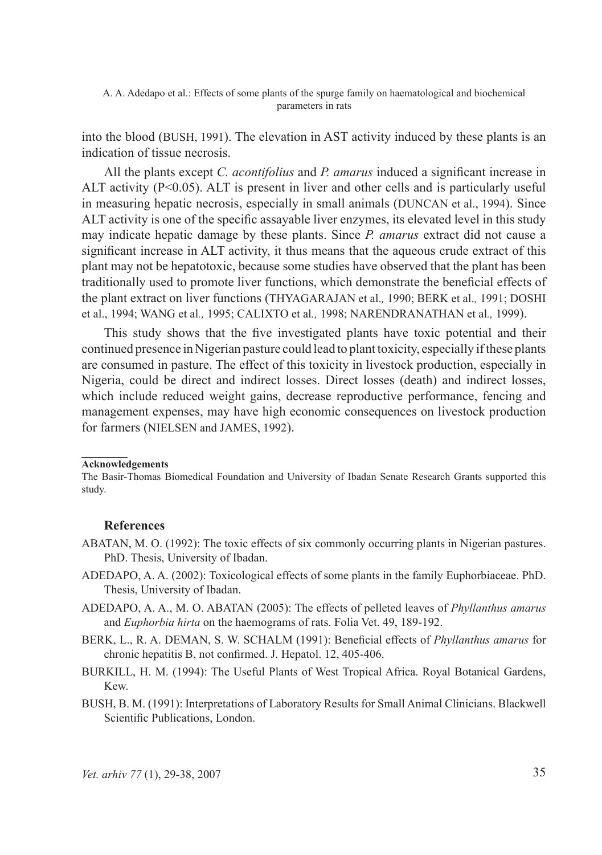into the blood (BUSH, 1991). The elevation in AST activity induced by these plants is an indication of tissue necrosis.

All the plants except *C. acontifolius* and *P. amarus* induced a significant increase in ALT activity  $(P<0.05)$ . ALT is present in liver and other cells and is particularly useful in measuring hepatic necrosis, especially in small animals (DUNCAN et al., 1994). Since ALT activity is one of the specific assayable liver enzymes, its elevated level in this study may indicate hepatic damage by these plants. Since *P. amarus* extract did not cause a significant increase in ALT activity, it thus means that the aqueous crude extract of this plant may not be hepatotoxic, because some studies have observed that the plant has been traditionally used to promote liver functions, which demonstrate the beneficial effects of the plant extract on liver functions (THYAGARAJAN et al.*,* 1990; BERK et al.*,* 1991; DOSHI et al., 1994; WANG et al*.,* 1995; CALIXTO et al*.,* 1998; NARENDRANATHAN et al*.,* 1999).

This study shows that the five investigated plants have toxic potential and their continued presence in Nigerian pasture could lead to plant toxicity, especially if these plants are consumed in pasture. The effect of this toxicity in livestock production, especially in Nigeria, could be direct and indirect losses. Direct losses (death) and indirect losses, which include reduced weight gains, decrease reproductive performance, fencing and management expenses, may have high economic consequences on livestock production for farmers (NIELSEN and JAMES, 1992).

#### **Acknowledgements**

 $\overline{\phantom{a}}$ 

### **References**

- ABATAN, M. O. (1992): The toxic effects of six commonly occurring plants in Nigerian pastures. PhD. Thesis, University of Ibadan.
- ADEDAPO, A. A. (2002): Toxicological effects of some plants in the family Euphorbiaceae. PhD. Thesis, University of Ibadan.
- ADEDAPO, A. A., M. O. ABATAN (2005): The effects of pelleted leaves of *Phyllanthus amarus* and *Euphorbia hirta* on the haemograms of rats. Folia Vet. 49, 189-192.
- BERK, L., R. A. DEMAN, S. W. SCHALM (1991): Beneficial effects of *Phyllanthus amarus* for chronic hepatitis B, not confirmed. J. Hepatol. 12, 405-406.
- BURKILL, H. M. (1994): The Useful Plants of West Tropical Africa. Royal Botanical Gardens, Kew.
- BUSH, B. M. (1991): Interpretations of Laboratory Results for Small Animal Clinicians. Blackwell Scientific Publications, London.

The Basir-Thomas Biomedical Foundation and University of Ibadan Senate Research Grants supported this study.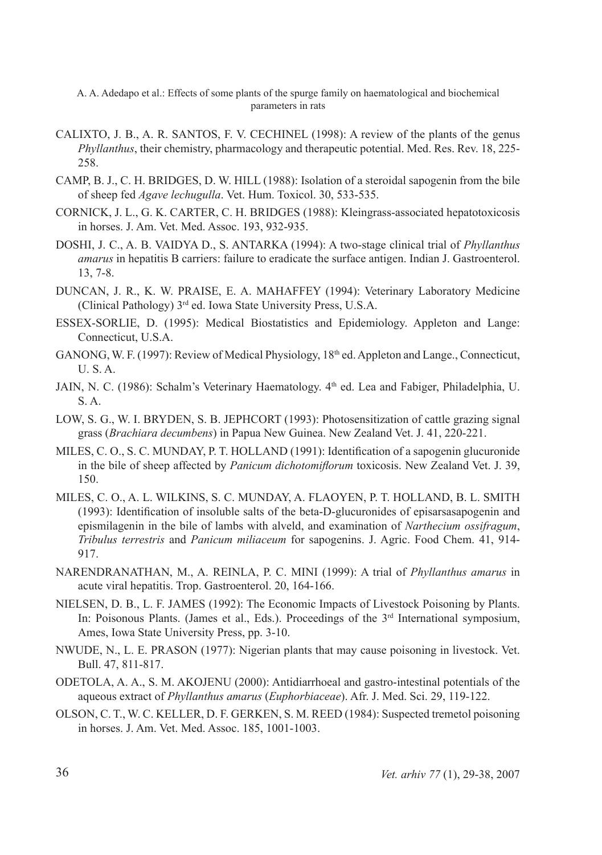- CALIXTO, J. B., A. R. SANTOS, F. V. CECHINEL (1998): A review of the plants of the genus *Phyllanthus*, their chemistry, pharmacology and therapeutic potential. Med. Res. Rev. 18, 225- 258.
- CAMP, B. J., C. H. BRIDGES, D. W. HILL (1988): Isolation of a steroidal sapogenin from the bile of sheep fed *Agave lechugulla*. Vet. Hum. Toxicol. 30, 533-535.
- CORNICK, J. L., G. K. CARTER, C. H. BRIDGES (1988): Kleingrass-associated hepatotoxicosis in horses. J. Am. Vet. Med. Assoc. 193, 932-935.
- DOSHI, J. C., A. B. VAIDYA D., S. ANTARKA (1994): A two-stage clinical trial of *Phyllanthus amarus* in hepatitis B carriers: failure to eradicate the surface antigen. Indian J. Gastroenterol. 13, 7-8.
- DUNCAN, J. R., K. W. PRAISE, E. A. MAHAFFEY (1994): Veterinary Laboratory Medicine (Clinical Pathology) 3rd ed. Iowa State University Press, U.S.A.
- ESSEX-SORLIE, D. (1995): Medical Biostatistics and Epidemiology. Appleton and Lange: Connecticut, U.S.A.
- GANONG, W. F. (1997): Review of Medical Physiology,  $18<sup>th</sup>$  ed. Appleton and Lange., Connecticut, U. S. A.
- JAIN, N. C. (1986): Schalm's Veterinary Haematology. 4<sup>th</sup> ed. Lea and Fabiger, Philadelphia, U. S. A.
- LOW, S. G., W. I. BRYDEN, S. B. JEPHCORT (1993): Photosensitization of cattle grazing signal grass (*Brachiara decumbens*) in Papua New Guinea. New Zealand Vet. J. 41, 220-221.
- MILES, C. O., S. C. MUNDAY, P. T. HOLLAND (1991): Identification of a sapogenin glucuronide in the bile of sheep affected by *Panicum dichotomiflorum* toxicosis. New Zealand Vet. J. 39, 150.
- MILES, C. O., A. L. WILKINS, S. C. MUNDAY, A. FLAOYEN, P. T. HOLLAND, B. L. SMITH (1993): Identification of insoluble salts of the beta-D-glucuronides of episarsasapogenin and epismilagenin in the bile of lambs with alveld, and examination of *Narthecium ossifragum*, *Tribulus terrestris* and *Panicum miliaceum* for sapogenins. J. Agric. Food Chem. 41, 914- 917.
- NARENDRANATHAN, M., A. REINLA, P. C. MINI (1999): A trial of *Phyllanthus amarus* in acute viral hepatitis. Trop. Gastroenterol. 20, 164-166.
- NIELSEN, D. B., L. F. JAMES (1992): The Economic Impacts of Livestock Poisoning by Plants. In: Poisonous Plants. (James et al., Eds.). Proceedings of the 3<sup>rd</sup> International symposium, Ames, Iowa State University Press, pp. 3-10.
- NWUDE, N., L. E. PRASON (1977): Nigerian plants that may cause poisoning in livestock. Vet. Bull. 47, 811-817.
- ODETOLA, A. A., S. M. AKOJENU (2000): Antidiarrhoeal and gastro-intestinal potentials of the aqueous extract of *Phyllanthus amarus* (*Euphorbiaceae*). Afr. J. Med. Sci. 29, 119-122.
- OLSON, C. T., W. C. KELLER, D. F. GERKEN, S. M. REED (1984): Suspected tremetol poisoning in horses. J. Am. Vet. Med. Assoc. 185, 1001-1003.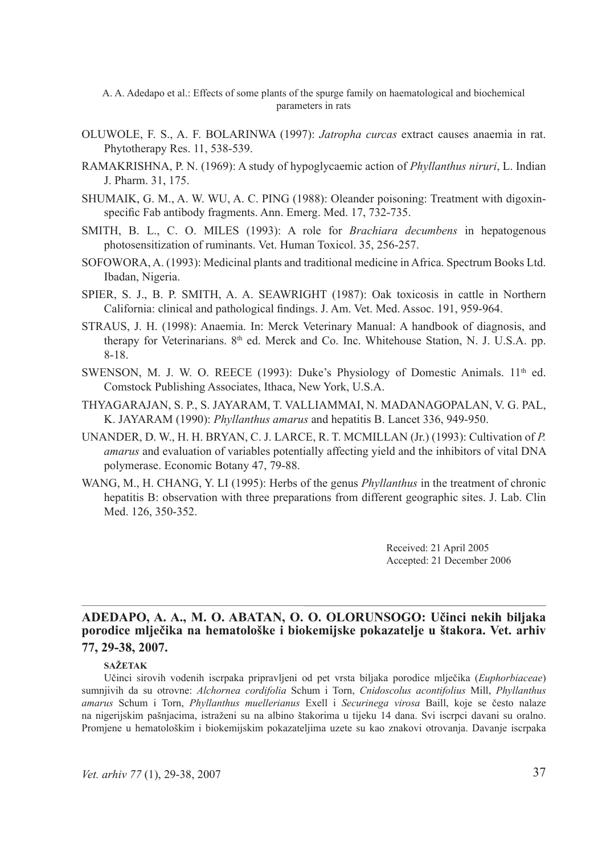- OLUWOLE, F. S., A. F. BOLARINWA (1997): *Jatropha curcas* extract causes anaemia in rat. Phytotherapy Res. 11, 538-539.
- RAMAKRISHNA, P. N. (1969): A study of hypoglycaemic action of *Phyllanthus niruri*, L. Indian J. Pharm. 31, 175.
- SHUMAIK, G. M., A. W. WU, A. C. PING (1988): Oleander poisoning: Treatment with digoxinspecific Fab antibody fragments. Ann. Emerg. Med. 17, 732-735.
- SMITH, B. L., C. O. MILES (1993): A role for *Brachiara decumbens* in hepatogenous photosensitization of ruminants. Vet. Human Toxicol. 35, 256-257.
- SOFOWORA, A. (1993): Medicinal plants and traditional medicine in Africa. Spectrum Books Ltd. Ibadan, Nigeria.
- SPIER, S. J., B. P. SMITH, A. A. SEAWRIGHT (1987): Oak toxicosis in cattle in Northern California: clinical and pathological findings. J. Am. Vet. Med. Assoc. 191, 959-964.
- STRAUS, J. H. (1998): Anaemia. In: Merck Veterinary Manual: A handbook of diagnosis, and therapy for Veterinarians. 8<sup>th</sup> ed. Merck and Co. Inc. Whitehouse Station, N. J. U.S.A. pp. 8-18.
- SWENSON, M. J. W. O. REECE (1993): Duke's Physiology of Domestic Animals.  $11<sup>th</sup>$  ed. Comstock Publishing Associates, Ithaca, New York, U.S.A.
- THYAGARAJAN, S. P., S. JAYARAM, T. VALLIAMMAI, N. MADANAGOPALAN, V. G. PAL, K. JAYARAM (1990): *Phyllanthus amarus* and hepatitis B. Lancet 336, 949-950.
- UNANDER, D. W., H. H. BRYAN, C. J. LARCE, R. T. MCMILLAN (Jr.) (1993): Cultivation of *P. amarus* and evaluation of variables potentially affecting yield and the inhibitors of vital DNA polymerase. Economic Botany 47, 79-88.
- WANG, M., H. CHANG, Y. LI (1995): Herbs of the genus *Phyllanthus* in the treatment of chronic hepatitis B: observation with three preparations from different geographic sites. J. Lab. Clin Med. 126, 350-352.

Received: 21 April 2005 Accepted: 21 December 2006

# **ADEDAPO, A. A., M. O. ABATAN, O. O. OLORUNSOGO: Učinci nekih biljaka porodice mlječika na hematološke i biokemijske pokazatelje u štakora. Vet. arhiv 77, 29-38, 2007.**

#### **SAŽETAK**

Učinci sirovih vodenih iscrpaka pripravljeni od pet vrsta biljaka porodice mlječika (*Euphorbiaceae*) sumnjivih da su otrovne: *Alchornea cordifolia* Schum i Torn, *Cnidoscolus acontifolius* Mill, *Phyllanthus amarus* Schum i Torn, *Phyllanthus muellerianus* Exell i *Securinega virosa* Baill, koje se često nalaze na nigerijskim pašnjacima, istraženi su na albino štakorima u tijeku 14 dana. Svi iscrpci davani su oralno. Promjene u hematološkim i biokemijskim pokazateljima uzete su kao znakovi otrovanja. Davanje iscrpaka